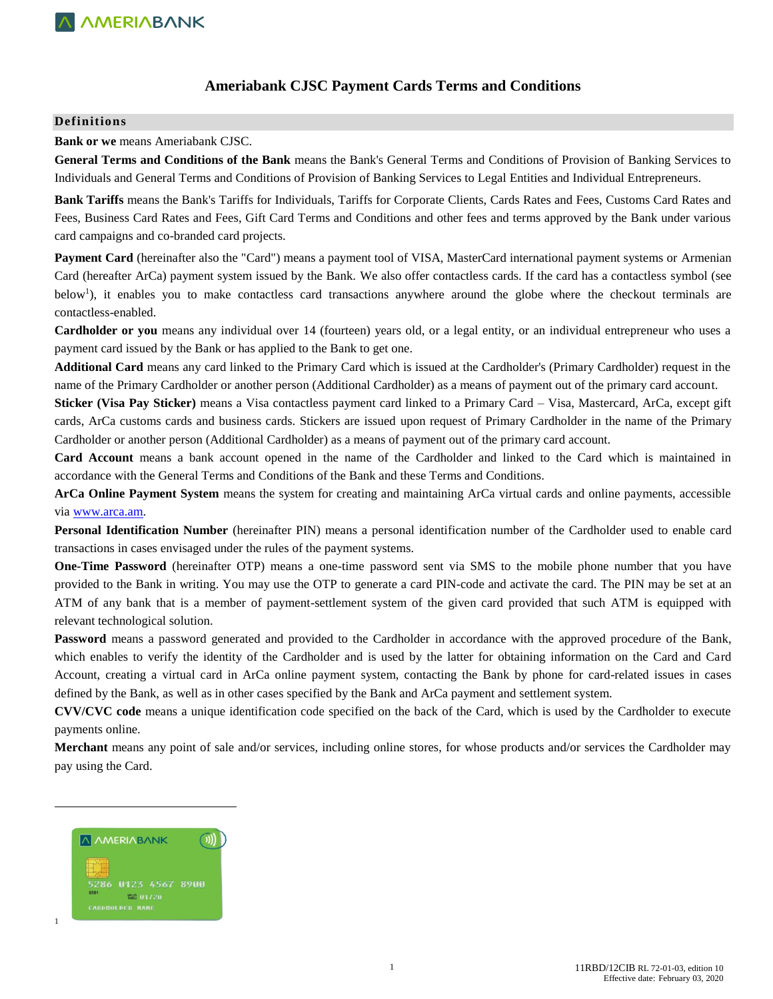### **Ameriabank CJSC Payment Cards Terms and Conditions**

#### **Definitions**

#### **Bank or we** means Ameriabank CJSC.

**General Terms and Conditions of the Bank** means the Bank's General Terms and Conditions of Provision of Banking Services to Individuals and General Terms and Conditions of Provision of Banking Services to Legal Entities and Individual Entrepreneurs.

**Bank Tariffs** means the Bank's Tariffs for Individuals, Tariffs for Corporate Clients, Cards Rates and Fees, Customs Card Rates and Fees, Business Card Rates and Fees, Gift Card Terms and Conditions and other fees and terms approved by the Bank under various card campaigns and co-branded card projects.

**Payment Card** (hereinafter also the "Card") means a payment tool of VISA, MasterCard international payment systems or Armenian Card (hereafter ArCa) payment system issued by the Bank. We also offer contactless cards. If the card has a contactless symbol (see below<sup>1</sup>), it enables you to make contactless card transactions anywhere around the globe where the checkout terminals are contactless-enabled.

**Cardholder or you** means any individual over 14 (fourteen) years old, or a legal entity, or an individual entrepreneur who uses a payment card issued by the Bank or has applied to the Bank to get one.

**Additional Card** means any card linked to the Primary Card which is issued at the Cardholder's (Primary Cardholder) request in the name of the Primary Cardholder or another person (Additional Cardholder) as a means of payment out of the primary card account.

**Sticker (Visa Pay Sticker)** means a Visa contactless payment card linked to a Primary Card – Visa, Mastercard, ArCa, except gift cards, ArCa customs cards and business cards. Stickers are issued upon request of Primary Cardholder in the name of the Primary Cardholder or another person (Additional Cardholder) as a means of payment out of the primary card account.

**Card Account** means a bank account opened in the name of the Cardholder and linked to the Card which is maintained in accordance with the General Terms and Conditions of the Bank and these Terms and Conditions.

**ArCa Online Payment System** means the system for creating and maintaining ArCa virtual cards and online payments, accessible via [www.arca.am.](http://www.arca.am/) 

**Personal Identification Number** (hereinafter PIN) means a personal identification number of the Cardholder used to enable card transactions in cases envisaged under the rules of the payment systems.

**One-Time Password** (hereinafter OTP) means a one-time password sent via SMS to the mobile phone number that you have provided to the Bank in writing. You may use the OTP to generate a card PIN-code and activate the card. The PIN may be set at an ATM of any bank that is a member of payment-settlement system of the given card provided that such ATM is equipped with relevant technological solution.

**Password** means a password generated and provided to the Cardholder in accordance with the approved procedure of the Bank, which enables to verify the identity of the Cardholder and is used by the latter for obtaining information on the Card and Card Account, creating a virtual card in ArCa online payment system, contacting the Bank by phone for card-related issues in cases defined by the Bank, as well as in other cases specified by the Bank and ArCa payment and settlement system.

**CVV/CVC code** means a unique identification code specified on the back of the Card, which is used by the Cardholder to execute payments online.

**Merchant** means any point of sale and/or services, including online stores, for whose products and/or services the Cardholder may pay using the Card.



 $\overline{\phantom{a}}$ 

1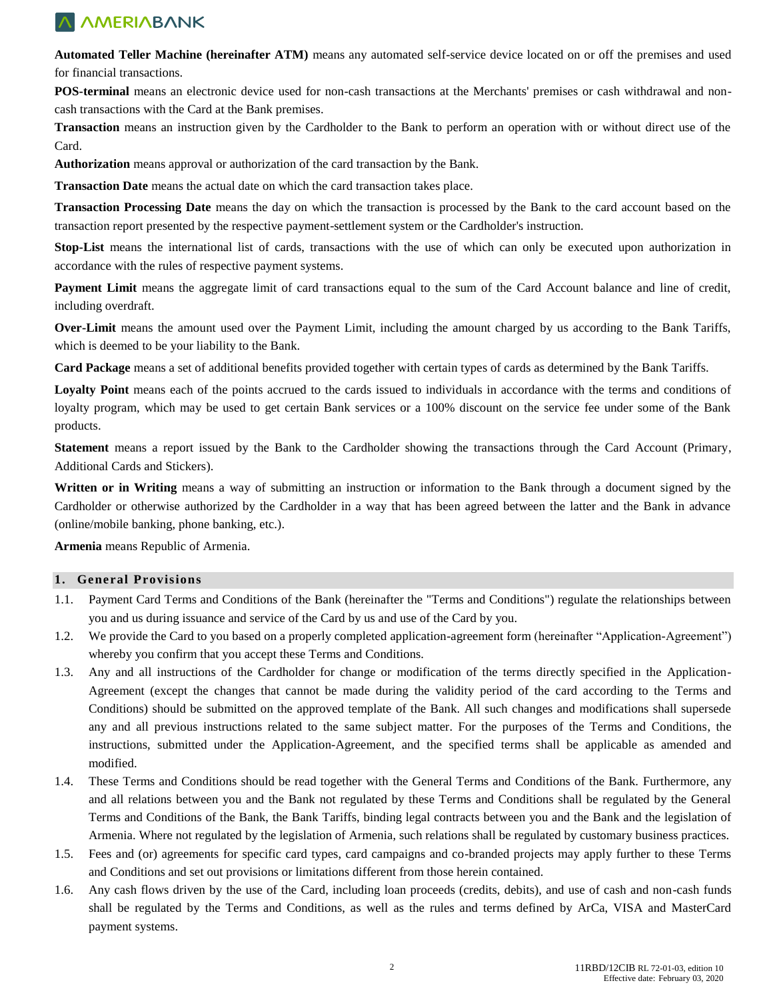**Automated Teller Machine (hereinafter ATM)** means any automated self-service device located on or off the premises and used for financial transactions.

**POS-terminal** means an electronic device used for non-cash transactions at the Merchants' premises or cash withdrawal and noncash transactions with the Card at the Bank premises.

**Transaction** means an instruction given by the Cardholder to the Bank to perform an operation with or without direct use of the Card.

**Authorization** means approval or authorization of the card transaction by the Bank.

**Transaction Date** means the actual date on which the card transaction takes place.

**Transaction Processing Date** means the day on which the transaction is processed by the Bank to the card account based on the transaction report presented by the respective payment-settlement system or the Cardholder's instruction.

**Stop-List** means the international list of cards, transactions with the use of which can only be executed upon authorization in accordance with the rules of respective payment systems.

**Payment Limit** means the aggregate limit of card transactions equal to the sum of the Card Account balance and line of credit, including overdraft.

**Over-Limit** means the amount used over the Payment Limit, including the amount charged by us according to the Bank Tariffs, which is deemed to be your liability to the Bank.

**Card Package** means a set of additional benefits provided together with certain types of cards as determined by the Bank Tariffs.

Loyalty Point means each of the points accrued to the cards issued to individuals in accordance with the terms and conditions of loyalty program, which may be used to get certain Bank services or a 100% discount on the service fee under some of the Bank products.

**Statement** means a report issued by the Bank to the Cardholder showing the transactions through the Card Account (Primary, Additional Cards and Stickers).

**Written or in Writing** means a way of submitting an instruction or information to the Bank through a document signed by the Cardholder or otherwise authorized by the Cardholder in a way that has been agreed between the latter and the Bank in advance (online/mobile banking, phone banking, etc.).

**Armenia** means Republic of Armenia.

#### **1. General Provisions**

- 1.1. Payment Card Terms and Conditions of the Bank (hereinafter the "Terms and Conditions") regulate the relationships between you and us during issuance and service of the Card by us and use of the Card by you.
- 1.2. We provide the Card to you based on a properly completed application-agreement form (hereinafter "Application-Agreement") whereby you confirm that you accept these Terms and Conditions.
- 1.3. Any and all instructions of the Cardholder for change or modification of the terms directly specified in the Application-Agreement (except the changes that cannot be made during the validity period of the card according to the Terms and Conditions) should be submitted on the approved template of the Bank. All such changes and modifications shall supersede any and all previous instructions related to the same subject matter. For the purposes of the Terms and Conditions, the instructions, submitted under the Application-Agreement, and the specified terms shall be applicable as amended and modified.
- 1.4. These Terms and Conditions should be read together with the General Terms and Conditions of the Bank. Furthermore, any and all relations between you and the Bank not regulated by these Terms and Conditions shall be regulated by the General Terms and Conditions of the Bank, the Bank Tariffs, binding legal contracts between you and the Bank and the legislation of Armenia. Where not regulated by the legislation of Armenia, such relations shall be regulated by customary business practices.
- 1.5. Fees and (or) agreements for specific card types, card campaigns and co-branded projects may apply further to these Terms and Conditions and set out provisions or limitations different from those herein contained.
- 1.6. Any cash flows driven by the use of the Card, including loan proceeds (credits, debits), and use of cash and non-cash funds shall be regulated by the Terms and Conditions, as well as the rules and terms defined by ArCa, VISA and MasterCard payment systems.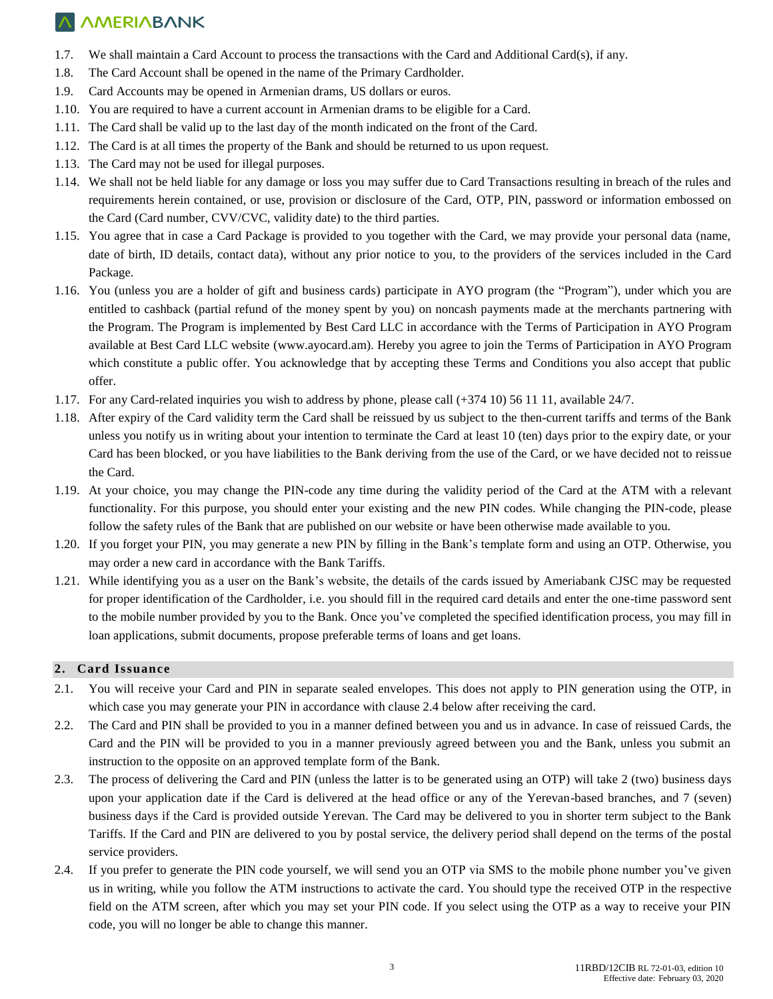- 1.7. We shall maintain a Card Account to process the transactions with the Card and Additional Card(s), if any.
- 1.8. The Card Account shall be opened in the name of the Primary Cardholder.
- 1.9. Card Accounts may be opened in Armenian drams, US dollars or euros.
- 1.10. You are required to have a current account in Armenian drams to be eligible for a Card.
- 1.11. The Card shall be valid up to the last day of the month indicated on the front of the Card.
- 1.12. The Card is at all times the property of the Bank and should be returned to us upon request.
- 1.13. The Card may not be used for illegal purposes.
- 1.14. We shall not be held liable for any damage or loss you may suffer due to Card Transactions resulting in breach of the rules and requirements herein contained, or use, provision or disclosure of the Card, OTP, PIN, password or information embossed on the Card (Card number, CVV/CVC, validity date) to the third parties.
- 1.15. You agree that in case a Card Package is provided to you together with the Card, we may provide your personal data (name, date of birth, ID details, contact data), without any prior notice to you, to the providers of the services included in the Card Package.
- 1.16. You (unless you are a holder of gift and business cards) participate in AYO program (the "Program"), under which you are entitled to cashback (partial refund of the money spent by you) on noncash payments made at the merchants partnering with the Program. The Program is implemented by Best Card LLC in accordance with the Terms of Participation in AYO Program available at Best Card LLC website [\(www.ayocard.am\)](http://www.ayocard.am/). Hereby you agree to join the Terms of Participation in AYO Program which constitute a public offer. You acknowledge that by accepting these Terms and Conditions you also accept that public offer.
- 1.17. For any Card-related inquiries you wish to address by phone, please call (+374 10) 56 11 11, available 24/7.
- 1.18. After expiry of the Card validity term the Card shall be reissued by us subject to the then-current tariffs and terms of the Bank unless you notify us in writing about your intention to terminate the Card at least 10 (ten) days prior to the expiry date, or your Card has been blocked, or you have liabilities to the Bank deriving from the use of the Card, or we have decided not to reissue the Card.
- 1.19. At your choice, you may change the PIN-code any time during the validity period of the Card at the ATM with a relevant functionality. For this purpose, you should enter your existing and the new PIN codes. While changing the PIN-code, please follow the safety rules of the Bank that are published on our website or have been otherwise made available to you.
- 1.20. If you forget your PIN, you may generate a new PIN by filling in the Bank's template form and using an OTP. Otherwise, you may order a new card in accordance with the Bank Tariffs.
- 1.21. While identifying you as a user on the Bank's website, the details of the cards issued by Ameriabank CJSC may be requested for proper identification of the Cardholder, i.e. you should fill in the required card details and enter the one-time password sent to the mobile number provided by you to the Bank. Once you've completed the specified identification process, you may fill in loan applications, submit documents, propose preferable terms of loans and get loans.

#### **2. Card Issuance**

- 2.1. You will receive your Card and PIN in separate sealed envelopes. This does not apply to PIN generation using the OTP, in which case you may generate your PIN in accordance with clause 2.4 below after receiving the card.
- 2.2. The Card and PIN shall be provided to you in a manner defined between you and us in advance. In case of reissued Cards, the Card and the PIN will be provided to you in a manner previously agreed between you and the Bank, unless you submit an instruction to the opposite on an approved template form of the Bank.
- 2.3. The process of delivering the Card and PIN (unless the latter is to be generated using an OTP) will take 2 (two) business days upon your application date if the Card is delivered at the head office or any of the Yerevan-based branches, and 7 (seven) business days if the Card is provided outside Yerevan. The Card may be delivered to you in shorter term subject to the Bank Tariffs. If the Card and PIN are delivered to you by postal service, the delivery period shall depend on the terms of the postal service providers.
- 2.4. If you prefer to generate the PIN code yourself, we will send you an OTP via SMS to the mobile phone number you've given us in writing, while you follow the ATM instructions to activate the card. You should type the received OTP in the respective field on the ATM screen, after which you may set your PIN code. If you select using the OTP as a way to receive your PIN code, you will no longer be able to change this manner.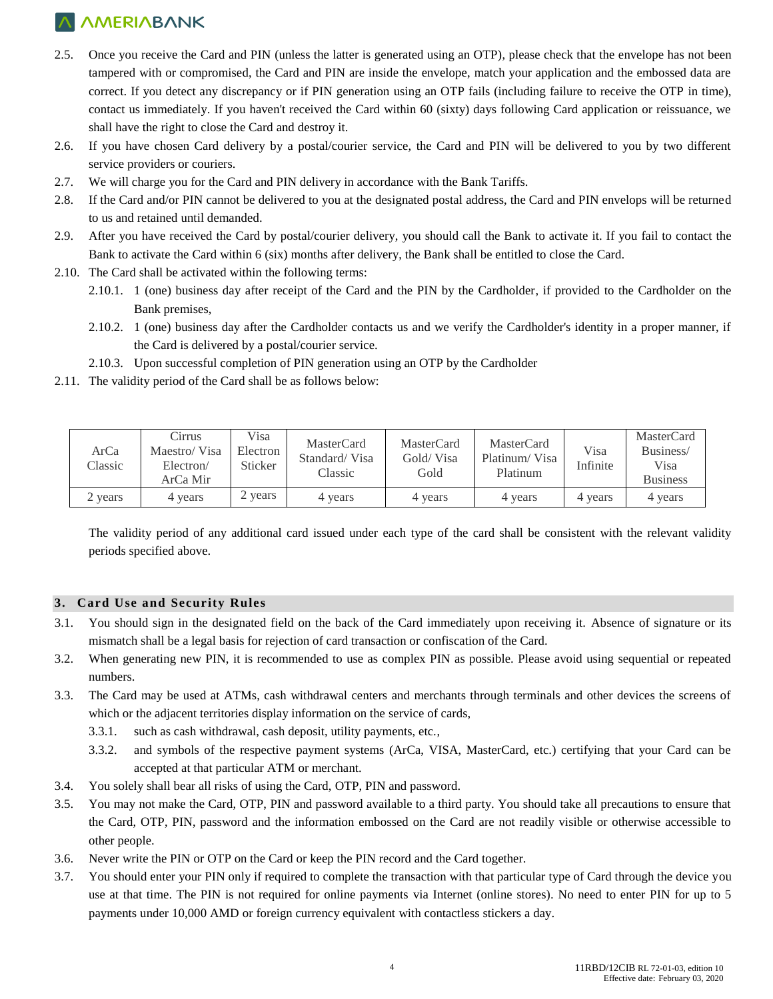- 2.5. Once you receive the Card and PIN (unless the latter is generated using an OTP), please check that the envelope has not been tampered with or compromised, the Card and PIN are inside the envelope, match your application and the embossed data are correct. If you detect any discrepancy or if PIN generation using an OTP fails (including failure to receive the OTP in time), contact us immediately. If you haven't received the Card within 60 (sixty) days following Card application or reissuance, we shall have the right to close the Card and destroy it.
- 2.6. If you have chosen Card delivery by a postal/courier service, the Card and PIN will be delivered to you by two different service providers or couriers.
- 2.7. We will charge you for the Card and PIN delivery in accordance with the Bank Tariffs.
- 2.8. If the Card and/or PIN cannot be delivered to you at the designated postal address, the Card and PIN envelops will be returned to us and retained until demanded.
- 2.9. After you have received the Card by postal/courier delivery, you should call the Bank to activate it. If you fail to contact the Bank to activate the Card within 6 (six) months after delivery, the Bank shall be entitled to close the Card.
- 2.10. The Card shall be activated within the following terms:
	- 2.10.1. 1 (one) business day after receipt of the Card and the PIN by the Cardholder, if provided to the Cardholder on the Bank premises,
	- 2.10.2. 1 (one) business day after the Cardholder contacts us and we verify the Cardholder's identity in a proper manner, if the Card is delivered by a postal/courier service.
	- 2.10.3. Upon successful completion of PIN generation using an OTP by the Cardholder
- 2.11. The validity period of the Card shall be as follows below:

| ArCa<br>Classic | Cirrus<br>Maestro/Visa<br>Electron/<br>ArCa Mir | Visa<br>Electron<br>Sticker | MasterCard<br>Standard/Visa<br>Classic | MasterCard<br>Gold/Visa<br>Gold | MasterCard<br>Platinum/Visa<br>Platinum | Visa<br>Infinite | MasterCard<br>Business/<br>Visa<br><b>Business</b> |
|-----------------|-------------------------------------------------|-----------------------------|----------------------------------------|---------------------------------|-----------------------------------------|------------------|----------------------------------------------------|
| 2 years         | years                                           | 2 years                     | 4 years                                | 4 years                         | 4 years                                 | 4 years          | 4 years                                            |

The validity period of any additional card issued under each type of the card shall be consistent with the relevant validity periods specified above.

#### **3. Card Use and Security Rules**

- 3.1. You should sign in the designated field on the back of the Card immediately upon receiving it. Absence of signature or its mismatch shall be a legal basis for rejection of card transaction or confiscation of the Card.
- 3.2. When generating new PIN, it is recommended to use as complex PIN as possible. Please avoid using sequential or repeated numbers.
- 3.3. The Card may be used at ATMs, cash withdrawal centers and merchants through terminals and other devices the screens of which or the adjacent territories display information on the service of cards,
	- 3.3.1. such as cash withdrawal, cash deposit, utility payments, etc.,
	- 3.3.2. and symbols of the respective payment systems (ArCa, VISA, MasterCard, etc.) certifying that your Card can be accepted at that particular ATM or merchant.
- 3.4. You solely shall bear all risks of using the Card, OTP, PIN and password.
- 3.5. You may not make the Card, OTP, PIN and password available to a third party. You should take all precautions to ensure that the Card, OTP, PIN, password and the information embossed on the Card are not readily visible or otherwise accessible to other people.
- 3.6. Never write the PIN or OTP on the Card or keep the PIN record and the Card together.
- 3.7. You should enter your PIN only if required to complete the transaction with that particular type of Card through the device you use at that time. The PIN is not required for online payments via Internet (online stores). No need to enter PIN for up to 5 payments under 10,000 AMD or foreign currency equivalent with contactless stickers a day.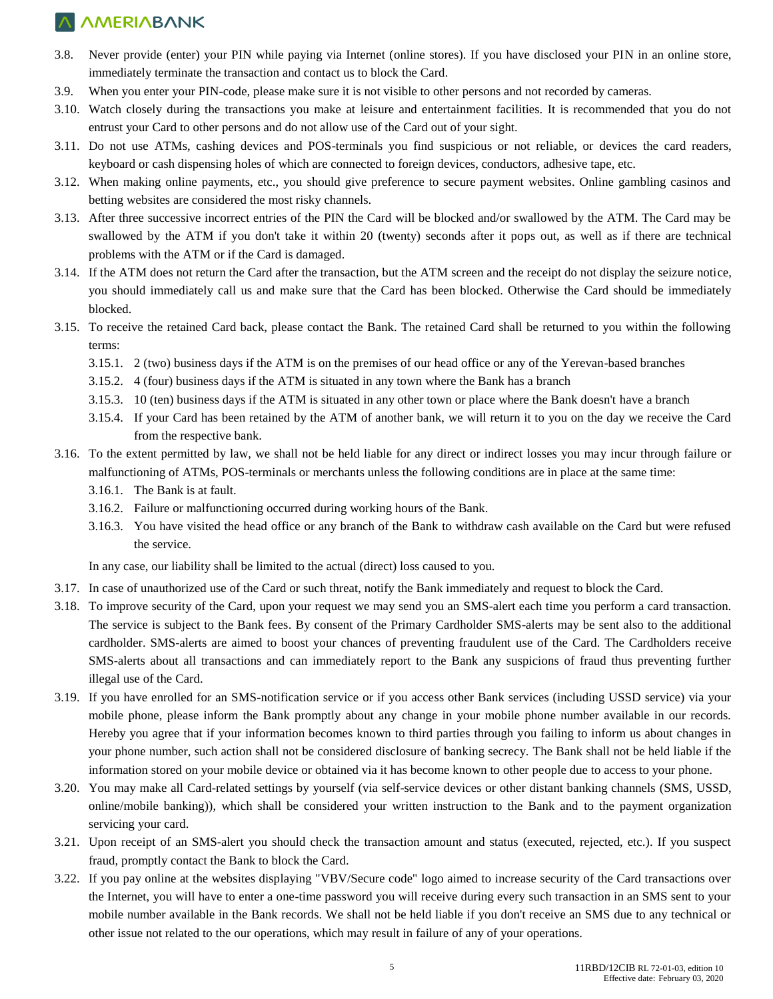- 3.8. Never provide (enter) your PIN while paying via Internet (online stores). If you have disclosed your PIN in an online store, immediately terminate the transaction and contact us to block the Card.
- 3.9. When you enter your PIN-code, please make sure it is not visible to other persons and not recorded by cameras.
- 3.10. Watch closely during the transactions you make at leisure and entertainment facilities. It is recommended that you do not entrust your Card to other persons and do not allow use of the Card out of your sight.
- 3.11. Do not use ATMs, cashing devices and POS-terminals you find suspicious or not reliable, or devices the card readers, keyboard or cash dispensing holes of which are connected to foreign devices, conductors, adhesive tape, etc.
- 3.12. When making online payments, etc., you should give preference to secure payment websites. Online gambling casinos and betting websites are considered the most risky channels.
- 3.13. After three successive incorrect entries of the PIN the Card will be blocked and/or swallowed by the ATM. The Card may be swallowed by the ATM if you don't take it within 20 (twenty) seconds after it pops out, as well as if there are technical problems with the ATM or if the Card is damaged.
- 3.14. If the ATM does not return the Card after the transaction, but the ATM screen and the receipt do not display the seizure notice, you should immediately call us and make sure that the Card has been blocked. Otherwise the Card should be immediately blocked.
- 3.15. To receive the retained Card back, please contact the Bank. The retained Card shall be returned to you within the following terms:
	- 3.15.1. 2 (two) business days if the ATM is on the premises of our head office or any of the Yerevan-based branches
	- 3.15.2. 4 (four) business days if the ATM is situated in any town where the Bank has a branch
	- 3.15.3. 10 (ten) business days if the ATM is situated in any other town or place where the Bank doesn't have a branch
	- 3.15.4. If your Card has been retained by the ATM of another bank, we will return it to you on the day we receive the Card from the respective bank.
- 3.16. To the extent permitted by law, we shall not be held liable for any direct or indirect losses you may incur through failure or malfunctioning of ATMs, POS-terminals or merchants unless the following conditions are in place at the same time:
	- 3.16.1. The Bank is at fault.
	- 3.16.2. Failure or malfunctioning occurred during working hours of the Bank.
	- 3.16.3. You have visited the head office or any branch of the Bank to withdraw cash available on the Card but were refused the service.

In any case, our liability shall be limited to the actual (direct) loss caused to you.

- 3.17. In case of unauthorized use of the Card or such threat, notify the Bank immediately and request to block the Card.
- 3.18. To improve security of the Card, upon your request we may send you an SMS-alert each time you perform a card transaction. The service is subject to the Bank fees. By consent of the Primary Cardholder SMS-alerts may be sent also to the additional cardholder. SMS-alerts are aimed to boost your chances of preventing fraudulent use of the Card. The Cardholders receive SMS-alerts about all transactions and can immediately report to the Bank any suspicions of fraud thus preventing further illegal use of the Card.
- 3.19. If you have enrolled for an SMS-notification service or if you access other Bank services (including USSD service) via your mobile phone, please inform the Bank promptly about any change in your mobile phone number available in our records. Hereby you agree that if your information becomes known to third parties through you failing to inform us about changes in your phone number, such action shall not be considered disclosure of banking secrecy. The Bank shall not be held liable if the information stored on your mobile device or obtained via it has become known to other people due to access to your phone.
- 3.20. You may make all Card-related settings by yourself (via self-service devices or other distant banking channels (SMS, USSD, online/mobile banking)), which shall be considered your written instruction to the Bank and to the payment organization servicing your card.
- 3.21. Upon receipt of an SMS-alert you should check the transaction amount and status (executed, rejected, etc.). If you suspect fraud, promptly contact the Bank to block the Card.
- 3.22. If you pay online at the websites displaying "VBV/Secure code" logo aimed to increase security of the Card transactions over the Internet, you will have to enter a one-time password you will receive during every such transaction in an SMS sent to your mobile number available in the Bank records. We shall not be held liable if you don't receive an SMS due to any technical or other issue not related to the our operations, which may result in failure of any of your operations.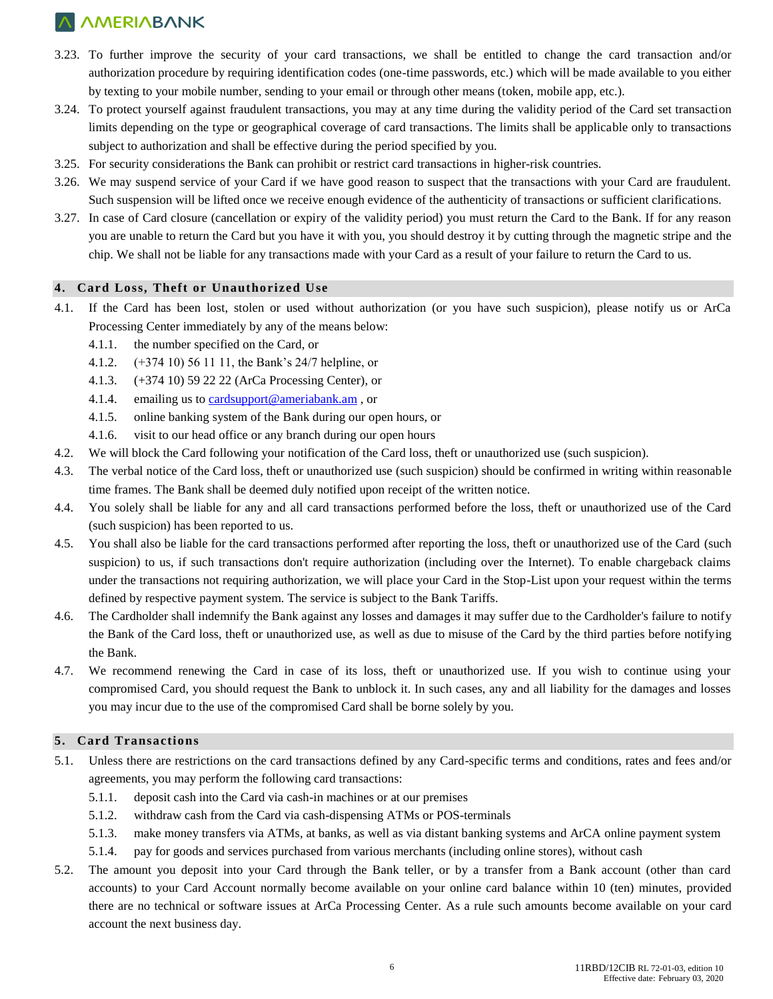- 3.23. To further improve the security of your card transactions, we shall be entitled to change the card transaction and/or authorization procedure by requiring identification codes (one-time passwords, etc.) which will be made available to you either by texting to your mobile number, sending to your email or through other means (token, mobile app, etc.).
- 3.24. To protect yourself against fraudulent transactions, you may at any time during the validity period of the Card set transaction limits depending on the type or geographical coverage of card transactions. The limits shall be applicable only to transactions subject to authorization and shall be effective during the period specified by you.
- 3.25. For security considerations the Bank can prohibit or restrict card transactions in higher-risk countries.
- 3.26. We may suspend service of your Card if we have good reason to suspect that the transactions with your Card are fraudulent. Such suspension will be lifted once we receive enough evidence of the authenticity of transactions or sufficient clarifications.
- 3.27. In case of Card closure (cancellation or expiry of the validity period) you must return the Card to the Bank. If for any reason you are unable to return the Card but you have it with you, you should destroy it by cutting through the magnetic stripe and the chip. We shall not be liable for any transactions made with your Card as a result of your failure to return the Card to us.

#### **4. Card Loss, Theft or Unauthorized Use**

- 4.1. If the Card has been lost, stolen or used without authorization (or you have such suspicion), please notify us or ArCa Processing Center immediately by any of the means below:
	- 4.1.1. the number specified on the Card, or
	- 4.1.2. (+374 10) 56 11 11, the Bank's 24/7 helpline, or
	- 4.1.3. (+374 10) 59 22 22 (ArCa Processing Center), or
	- 4.1.4. emailing us to [cardsupport@ameriabank.am](mailto:cardsupport@ameriabank.am) , or
	- 4.1.5. online banking system of the Bank during our open hours, or
	- 4.1.6. visit to our head office or any branch during our open hours
- 4.2. We will block the Card following your notification of the Card loss, theft or unauthorized use (such suspicion).
- 4.3. The verbal notice of the Card loss, theft or unauthorized use (such suspicion) should be confirmed in writing within reasonable time frames. The Bank shall be deemed duly notified upon receipt of the written notice.
- 4.4. You solely shall be liable for any and all card transactions performed before the loss, theft or unauthorized use of the Card (such suspicion) has been reported to us.
- 4.5. You shall also be liable for the card transactions performed after reporting the loss, theft or unauthorized use of the Card (such suspicion) to us, if such transactions don't require authorization (including over the Internet). To enable chargeback claims under the transactions not requiring authorization, we will place your Card in the Stop-List upon your request within the terms defined by respective payment system. The service is subject to the Bank Tariffs.
- 4.6. The Cardholder shall indemnify the Bank against any losses and damages it may suffer due to the Cardholder's failure to notify the Bank of the Card loss, theft or unauthorized use, as well as due to misuse of the Card by the third parties before notifying the Bank.
- 4.7. We recommend renewing the Card in case of its loss, theft or unauthorized use. If you wish to continue using your compromised Card, you should request the Bank to unblock it. In such cases, any and all liability for the damages and losses you may incur due to the use of the compromised Card shall be borne solely by you.

#### **5. Card Transactions**

- 5.1. Unless there are restrictions on the card transactions defined by any Card-specific terms and conditions, rates and fees and/or agreements, you may perform the following card transactions:
	- 5.1.1. deposit cash into the Card via cash-in machines or at our premises
	- 5.1.2. withdraw cash from the Card via cash-dispensing ATMs or POS-terminals
	- 5.1.3. make money transfers via ATMs, at banks, as well as via distant banking systems and ArCA online payment system
	- 5.1.4. pay for goods and services purchased from various merchants (including online stores), without cash
- 5.2. The amount you deposit into your Card through the Bank teller, or by a transfer from a Bank account (other than card accounts) to your Card Account normally become available on your online card balance within 10 (ten) minutes, provided there are no technical or software issues at ArCa Processing Center. As a rule such amounts become available on your card account the next business day.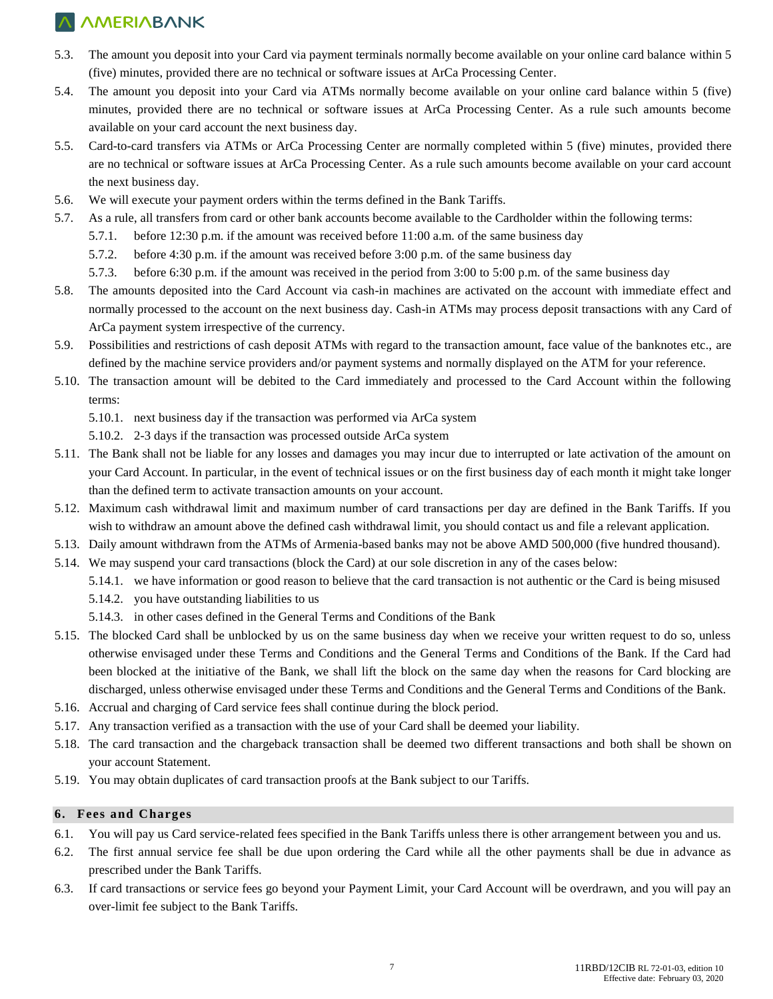- 5.3. The amount you deposit into your Card via payment terminals normally become available on your online card balance within 5 (five) minutes, provided there are no technical or software issues at ArCa Processing Center.
- 5.4. The amount you deposit into your Card via ATMs normally become available on your online card balance within 5 (five) minutes, provided there are no technical or software issues at ArCa Processing Center. As a rule such amounts become available on your card account the next business day.
- 5.5. Card-to-card transfers via ATMs or ArCa Processing Center are normally completed within 5 (five) minutes, provided there are no technical or software issues at ArCa Processing Center. As a rule such amounts become available on your card account the next business day.
- 5.6. We will execute your payment orders within the terms defined in the Bank Tariffs.
- 5.7. As a rule, all transfers from card or other bank accounts become available to the Cardholder within the following terms:
	- 5.7.1. before 12:30 p.m. if the amount was received before 11:00 a.m. of the same business day
	- 5.7.2. before 4:30 p.m. if the amount was received before 3:00 p.m. of the same business day
	- 5.7.3. before 6:30 p.m. if the amount was received in the period from 3:00 to 5:00 p.m. of the same business day
- 5.8. The amounts deposited into the Card Account via cash-in machines are activated on the account with immediate effect and normally processed to the account on the next business day. Cash-in ATMs may process deposit transactions with any Card of ArCa payment system irrespective of the currency.
- 5.9. Possibilities and restrictions of cash deposit ATMs with regard to the transaction amount, face value of the banknotes etc., are defined by the machine service providers and/or payment systems and normally displayed on the ATM for your reference.
- 5.10. The transaction amount will be debited to the Card immediately and processed to the Card Account within the following terms:
	- 5.10.1. next business day if the transaction was performed via ArCa system
	- 5.10.2. 2-3 days if the transaction was processed outside ArCa system
- 5.11. The Bank shall not be liable for any losses and damages you may incur due to interrupted or late activation of the amount on your Card Account. In particular, in the event of technical issues or on the first business day of each month it might take longer than the defined term to activate transaction amounts on your account.
- 5.12. Maximum cash withdrawal limit and maximum number of card transactions per day are defined in the Bank Tariffs. If you wish to withdraw an amount above the defined cash withdrawal limit, you should contact us and file a relevant application.
- 5.13. Daily amount withdrawn from the ATMs of Armenia-based banks may not be above AMD 500,000 (five hundred thousand).
- 5.14. We may suspend your card transactions (block the Card) at our sole discretion in any of the cases below:
	- 5.14.1. we have information or good reason to believe that the card transaction is not authentic or the Card is being misused
	- 5.14.2. you have outstanding liabilities to us
	- 5.14.3. in other cases defined in the General Terms and Conditions of the Bank
- 5.15. The blocked Card shall be unblocked by us on the same business day when we receive your written request to do so, unless otherwise envisaged under these Terms and Conditions and the General Terms and Conditions of the Bank. If the Card had been blocked at the initiative of the Bank, we shall lift the block on the same day when the reasons for Card blocking are discharged, unless otherwise envisaged under these Terms and Conditions and the General Terms and Conditions of the Bank.
- 5.16. Accrual and charging of Card service fees shall continue during the block period.
- 5.17. Any transaction verified as a transaction with the use of your Card shall be deemed your liability.
- 5.18. The card transaction and the chargeback transaction shall be deemed two different transactions and both shall be shown on your account Statement.
- 5.19. You may obtain duplicates of card transaction proofs at the Bank subject to our Tariffs.

#### **6. Fees and Charges**

- 6.1. You will pay us Card service-related fees specified in the Bank Tariffs unless there is other arrangement between you and us.
- 6.2. The first annual service fee shall be due upon ordering the Card while all the other payments shall be due in advance as prescribed under the Bank Tariffs.
- 6.3. If card transactions or service fees go beyond your Payment Limit, your Card Account will be overdrawn, and you will pay an over-limit fee subject to the Bank Tariffs.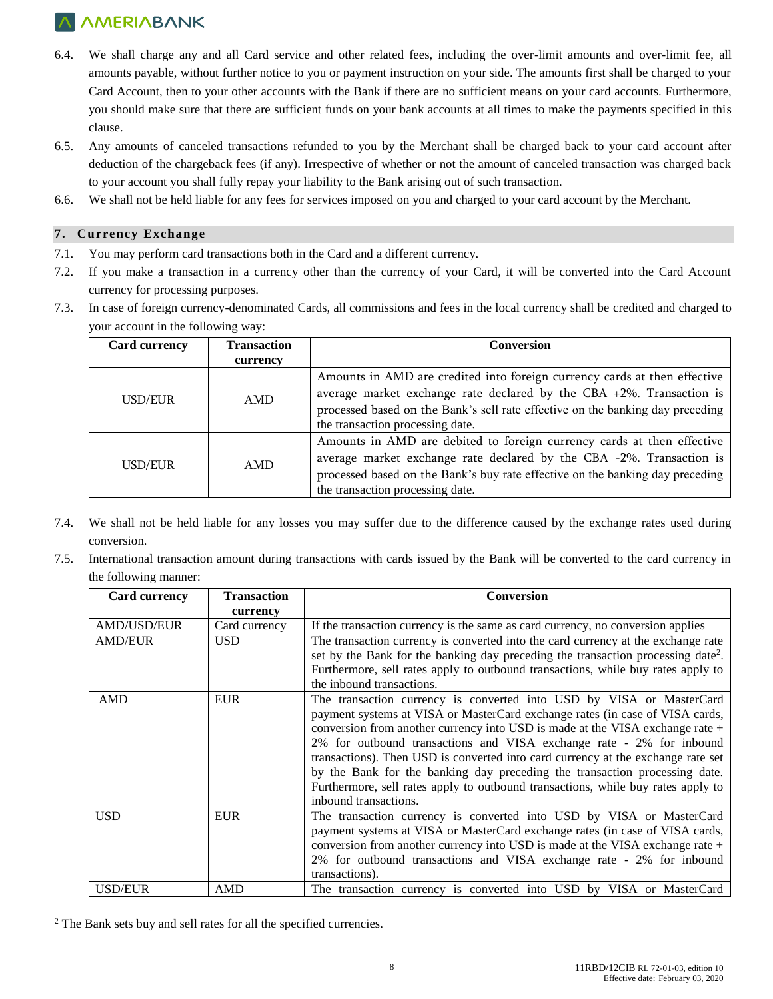- 6.4. We shall charge any and all Card service and other related fees, including the over-limit amounts and over-limit fee, all amounts payable, without further notice to you or payment instruction on your side. The amounts first shall be charged to your Card Account, then to your other accounts with the Bank if there are no sufficient means on your card accounts. Furthermore, you should make sure that there are sufficient funds on your bank accounts at all times to make the payments specified in this clause.
- 6.5. Any amounts of canceled transactions refunded to you by the Merchant shall be charged back to your card account after deduction of the chargeback fees (if any). Irrespective of whether or not the amount of canceled transaction was charged back to your account you shall fully repay your liability to the Bank arising out of such transaction.
- 6.6. We shall not be held liable for any fees for services imposed on you and charged to your card account by the Merchant.

#### **7. Currency Exchange**

- 7.1. You may perform card transactions both in the Card and a different currency.
- 7.2. If you make a transaction in a currency other than the currency of your Card, it will be converted into the Card Account currency for processing purposes.
- 7.3. In case of foreign currency-denominated Cards, all commissions and fees in the local currency shall be credited and charged to your account in the following way:

| <b>Card currency</b> | <b>Transaction</b> | <b>Conversion</b>                                                                                                                                                                                                                                                           |  |
|----------------------|--------------------|-----------------------------------------------------------------------------------------------------------------------------------------------------------------------------------------------------------------------------------------------------------------------------|--|
|                      | currency           |                                                                                                                                                                                                                                                                             |  |
| USD/EUR              | AMD                | Amounts in AMD are credited into foreign currency cards at then effective<br>average market exchange rate declared by the CBA $+2\%$ . Transaction is<br>processed based on the Bank's sell rate effective on the banking day preceding<br>the transaction processing date. |  |
| USD/EUR              | AMD                | Amounts in AMD are debited to foreign currency cards at then effective<br>average market exchange rate declared by the CBA -2%. Transaction is<br>processed based on the Bank's buy rate effective on the banking day preceding<br>the transaction processing date.         |  |

- 7.4. We shall not be held liable for any losses you may suffer due to the difference caused by the exchange rates used during conversion.
- 7.5. International transaction amount during transactions with cards issued by the Bank will be converted to the card currency in the following manner:

| <b>Card currency</b> | <b>Transaction</b> | <b>Conversion</b>                                                                            |
|----------------------|--------------------|----------------------------------------------------------------------------------------------|
|                      | currency           |                                                                                              |
| <b>AMD/USD/EUR</b>   | Card currency      | If the transaction currency is the same as card currency, no conversion applies              |
| <b>AMD/EUR</b>       | <b>USD</b>         | The transaction currency is converted into the card currency at the exchange rate            |
|                      |                    | set by the Bank for the banking day preceding the transaction processing date <sup>2</sup> . |
|                      |                    | Furthermore, sell rates apply to outbound transactions, while buy rates apply to             |
|                      |                    | the inbound transactions.                                                                    |
| AMD                  | <b>EUR</b>         | The transaction currency is converted into USD by VISA or MasterCard                         |
|                      |                    | payment systems at VISA or MasterCard exchange rates (in case of VISA cards,                 |
|                      |                    | conversion from another currency into USD is made at the VISA exchange rate +                |
|                      |                    | 2% for outbound transactions and VISA exchange rate - 2% for inbound                         |
|                      |                    | transactions). Then USD is converted into card currency at the exchange rate set             |
|                      |                    | by the Bank for the banking day preceding the transaction processing date.                   |
|                      |                    | Furthermore, sell rates apply to outbound transactions, while buy rates apply to             |
|                      |                    | inbound transactions.                                                                        |
| <b>USD</b>           | <b>EUR</b>         | The transaction currency is converted into USD by VISA or MasterCard                         |
|                      |                    | payment systems at VISA or MasterCard exchange rates (in case of VISA cards,                 |
|                      |                    | conversion from another currency into USD is made at the VISA exchange rate +                |
|                      |                    | 2% for outbound transactions and VISA exchange rate - 2% for inbound                         |
|                      |                    | transactions).                                                                               |
| <b>USD/EUR</b>       | <b>AMD</b>         | The transaction currency is converted into USD by VISA or MasterCard                         |

 $\overline{\phantom{a}}$ <sup>2</sup> The Bank sets buy and sell rates for all the specified currencies.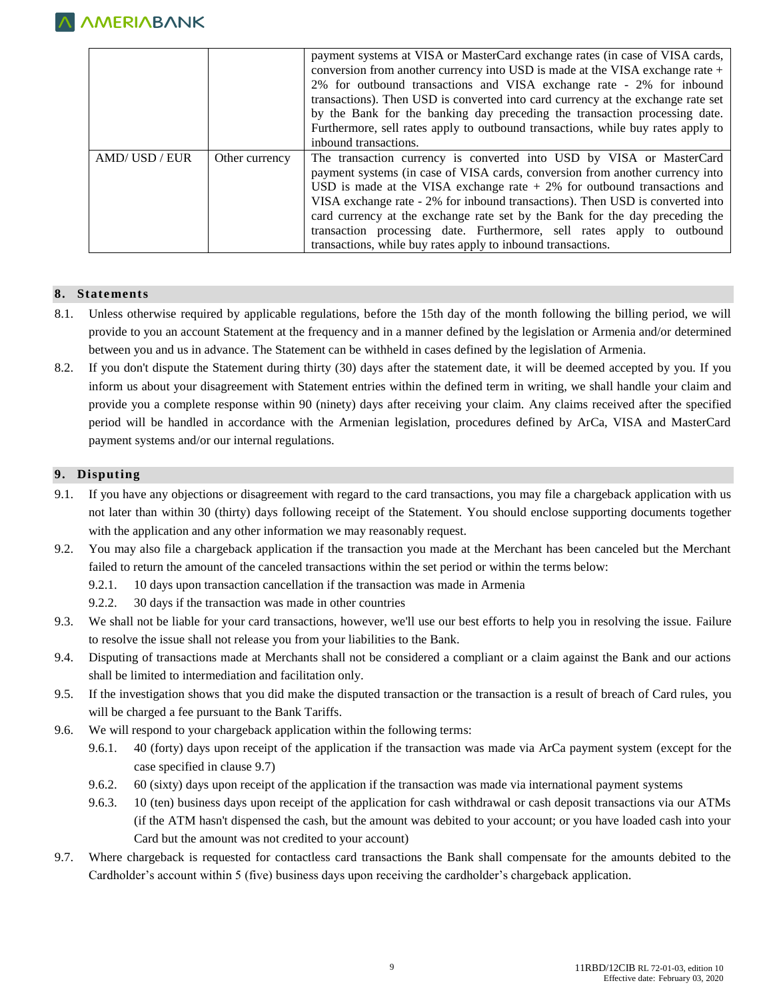

|             |                | payment systems at VISA or MasterCard exchange rates (in case of VISA cards,     |  |
|-------------|----------------|----------------------------------------------------------------------------------|--|
|             |                | conversion from another currency into USD is made at the VISA exchange rate +    |  |
|             |                | 2% for outbound transactions and VISA exchange rate - 2% for inbound             |  |
|             |                | transactions). Then USD is converted into card currency at the exchange rate set |  |
|             |                | by the Bank for the banking day preceding the transaction processing date.       |  |
|             |                | Furthermore, sell rates apply to outbound transactions, while buy rates apply to |  |
|             |                | inbound transactions.                                                            |  |
| AMD/USD/EUR | Other currency | The transaction currency is converted into USD by VISA or MasterCard             |  |
|             |                | payment systems (in case of VISA cards, conversion from another currency into    |  |
|             |                | USD is made at the VISA exchange rate $+2\%$ for outbound transactions and       |  |
|             |                | VISA exchange rate - 2% for inbound transactions). Then USD is converted into    |  |
|             |                | card currency at the exchange rate set by the Bank for the day preceding the     |  |
|             |                | transaction processing date. Furthermore, sell rates apply to outbound           |  |
|             |                |                                                                                  |  |

#### **8. Statements**

- 8.1. Unless otherwise required by applicable regulations, before the 15th day of the month following the billing period, we will provide to you an account Statement at the frequency and in a manner defined by the legislation or Armenia and/or determined between you and us in advance. The Statement can be withheld in cases defined by the legislation of Armenia.
- 8.2. If you don't dispute the Statement during thirty (30) days after the statement date, it will be deemed accepted by you. If you inform us about your disagreement with Statement entries within the defined term in writing, we shall handle your claim and provide you a complete response within 90 (ninety) days after receiving your claim. Any claims received after the specified period will be handled in accordance with the Armenian legislation, procedures defined by ArCa, VISA and MasterCard payment systems and/or our internal regulations.

#### **9. Disputing**

- 9.1. If you have any objections or disagreement with regard to the card transactions, you may file a chargeback application with us not later than within 30 (thirty) days following receipt of the Statement. You should enclose supporting documents together with the application and any other information we may reasonably request.
- 9.2. You may also file a chargeback application if the transaction you made at the Merchant has been canceled but the Merchant failed to return the amount of the canceled transactions within the set period or within the terms below:
	- 9.2.1. 10 days upon transaction cancellation if the transaction was made in Armenia
	- 9.2.2. 30 days if the transaction was made in other countries
- 9.3. We shall not be liable for your card transactions, however, we'll use our best efforts to help you in resolving the issue. Failure to resolve the issue shall not release you from your liabilities to the Bank.
- 9.4. Disputing of transactions made at Merchants shall not be considered a compliant or a claim against the Bank and our actions shall be limited to intermediation and facilitation only.
- 9.5. If the investigation shows that you did make the disputed transaction or the transaction is a result of breach of Card rules, you will be charged a fee pursuant to the Bank Tariffs.
- 9.6. We will respond to your chargeback application within the following terms:
	- 9.6.1. 40 (forty) days upon receipt of the application if the transaction was made via ArCa payment system (except for the case specified in clause 9.7)
	- 9.6.2. 60 (sixty) days upon receipt of the application if the transaction was made via international payment systems
	- 9.6.3. 10 (ten) business days upon receipt of the application for cash withdrawal or cash deposit transactions via our ATMs (if the ATM hasn't dispensed the cash, but the amount was debited to your account; or you have loaded cash into your Card but the amount was not credited to your account)
- 9.7. Where chargeback is requested for contactless card transactions the Bank shall compensate for the amounts debited to the Cardholder's account within 5 (five) business days upon receiving the cardholder's chargeback application.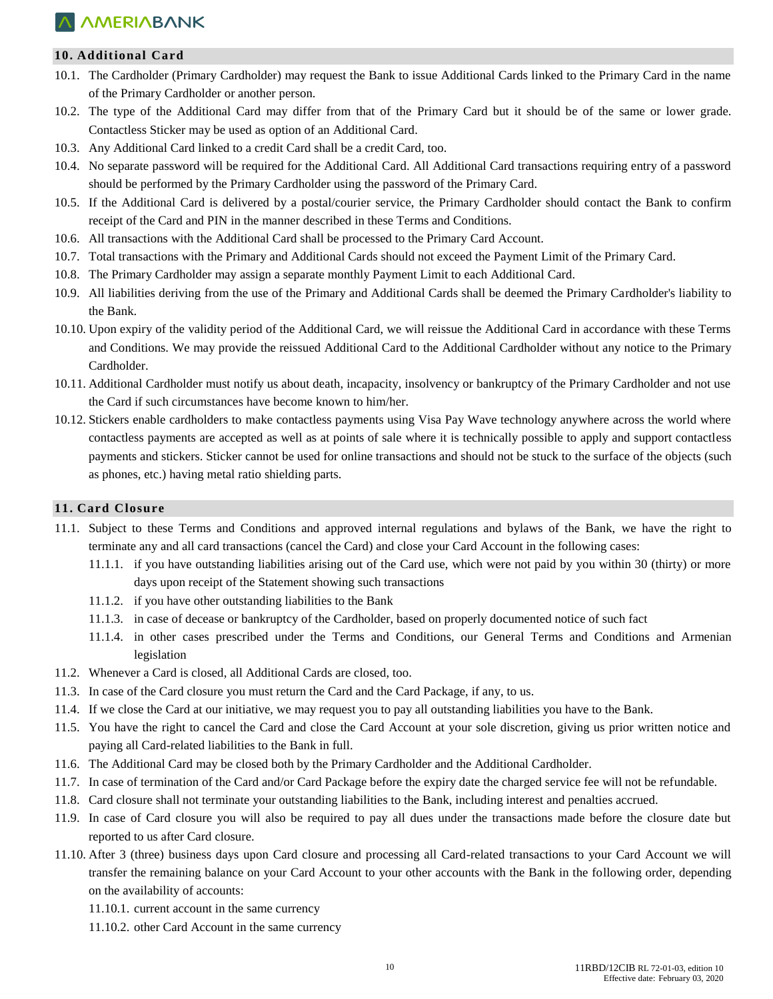### **10. Additional Card**

- 10.1. The Cardholder (Primary Cardholder) may request the Bank to issue Additional Cards linked to the Primary Card in the name of the Primary Cardholder or another person.
- 10.2. The type of the Additional Card may differ from that of the Primary Card but it should be of the same or lower grade. Contactless Sticker may be used as option of an Additional Card.
- 10.3. Any Additional Card linked to a credit Card shall be a credit Card, too.
- 10.4. No separate password will be required for the Additional Card. All Additional Card transactions requiring entry of a password should be performed by the Primary Cardholder using the password of the Primary Card.
- 10.5. If the Additional Card is delivered by a postal/courier service, the Primary Cardholder should contact the Bank to confirm receipt of the Card and PIN in the manner described in these Terms and Conditions.
- 10.6. All transactions with the Additional Card shall be processed to the Primary Card Account.
- 10.7. Total transactions with the Primary and Additional Cards should not exceed the Payment Limit of the Primary Card.
- 10.8. The Primary Cardholder may assign a separate monthly Payment Limit to each Additional Card.
- 10.9. All liabilities deriving from the use of the Primary and Additional Cards shall be deemed the Primary Cardholder's liability to the Bank.
- 10.10. Upon expiry of the validity period of the Additional Card, we will reissue the Additional Card in accordance with these Terms and Conditions. We may provide the reissued Additional Card to the Additional Cardholder without any notice to the Primary Cardholder.
- 10.11. Additional Cardholder must notify us about death, incapacity, insolvency or bankruptcy of the Primary Cardholder and not use the Card if such circumstances have become known to him/her.
- 10.12. Stickers enable cardholders to make contactless payments using Visa Pay Wave technology anywhere across the world where contactless payments are accepted as well as at points of sale where it is technically possible to apply and support contactless payments and stickers. Sticker cannot be used for online transactions and should not be stuck to the surface of the objects (such as phones, etc.) having metal ratio shielding parts.

#### **11. Card Closure**

- 11.1. Subject to these Terms and Conditions and approved internal regulations and bylaws of the Bank, we have the right to terminate any and all card transactions (cancel the Card) and close your Card Account in the following cases:
	- 11.1.1. if you have outstanding liabilities arising out of the Card use, which were not paid by you within 30 (thirty) or more days upon receipt of the Statement showing such transactions
	- 11.1.2. if you have other outstanding liabilities to the Bank
	- 11.1.3. in case of decease or bankruptcy of the Cardholder, based on properly documented notice of such fact
	- 11.1.4. in other cases prescribed under the Terms and Conditions, our General Terms and Conditions and Armenian legislation
- 11.2. Whenever a Card is closed, all Additional Cards are closed, too.
- 11.3. In case of the Card closure you must return the Card and the Card Package, if any, to us.
- 11.4. If we close the Card at our initiative, we may request you to pay all outstanding liabilities you have to the Bank.
- 11.5. You have the right to cancel the Card and close the Card Account at your sole discretion, giving us prior written notice and paying all Card-related liabilities to the Bank in full.
- 11.6. The Additional Card may be closed both by the Primary Cardholder and the Additional Cardholder.
- 11.7. In case of termination of the Card and/or Card Package before the expiry date the charged service fee will not be refundable.
- 11.8. Card closure shall not terminate your outstanding liabilities to the Bank, including interest and penalties accrued.
- 11.9. In case of Card closure you will also be required to pay all dues under the transactions made before the closure date but reported to us after Card closure.
- 11.10. After 3 (three) business days upon Card closure and processing all Card-related transactions to your Card Account we will transfer the remaining balance on your Card Account to your other accounts with the Bank in the following order, depending on the availability of accounts:
	- 11.10.1. current account in the same currency
	- 11.10.2. other Card Account in the same currency